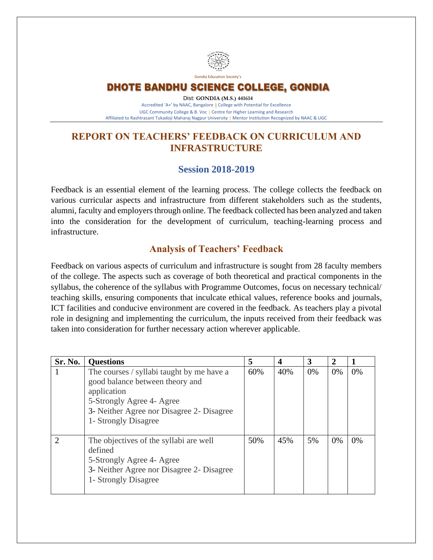

Gondia Education Society's

### DHOTE BANDHU SCIENCE COLLEGE, GONDIA

Dist: **GONDIA (M.S.) 441614** Accredited 'A+' by NAAC, Bangalore **|** College with Potential for Excellence UGC Community College & B. Voc **|** Centre for Higher Learning and Research Affiliated to Rashtrasant Tukadoji Maharaj Nagpur University **|** Mentor Institution Recognized by NAAC & UGC

## **REPORT ON TEACHERS' FEEDBACK ON CURRICULUM AND INFRASTRUCTURE**

#### **Session 2018-2019**

Feedback is an essential element of the learning process. The college collects the feedback on various curricular aspects and infrastructure from different stakeholders such as the students, alumni, faculty and employers through online. The feedback collected has been analyzed and taken into the consideration for the development of curriculum, teaching-learning process and infrastructure.

### **Analysis of Teachers' Feedback**

Feedback on various aspects of curriculum and infrastructure is sought from 28 faculty members of the college. The aspects such as coverage of both theoretical and practical components in the syllabus, the coherence of the syllabus with Programme Outcomes, focus on necessary technical/ teaching skills, ensuring components that inculcate ethical values, reference books and journals, ICT facilities and conducive environment are covered in the feedback. As teachers play a pivotal role in designing and implementing the curriculum, the inputs received from their feedback was taken into consideration for further necessary action wherever applicable.

| Sr. No. | <b>Questions</b>                                                                                                                                                                              | 5   | 4   | 3  | 2     |    |
|---------|-----------------------------------------------------------------------------------------------------------------------------------------------------------------------------------------------|-----|-----|----|-------|----|
|         | The courses / syllabi taught by me have a<br>good balance between theory and<br>application<br>5-Strongly Agree 4- Agree<br>3- Neither Agree nor Disagree 2- Disagree<br>1- Strongly Disagree | 60% | 40% | 0% | $0\%$ | 0% |
| ာ       | The objectives of the syllabi are well<br>defined<br>5-Strongly Agree 4- Agree<br>3- Neither Agree nor Disagree 2- Disagree<br>1- Strongly Disagree                                           | 50% | 45% | 5% | 0%    | 0% |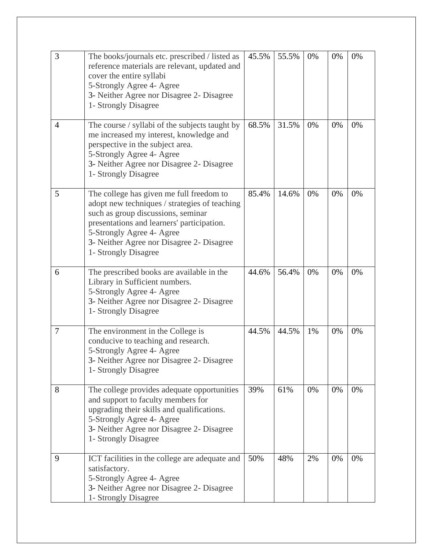| 3              | The books/journals etc. prescribed / listed as<br>reference materials are relevant, updated and<br>cover the entire syllabi<br>5-Strongly Agree 4- Agree<br>3- Neither Agree nor Disagree 2- Disagree<br>1- Strongly Disagree                                                   | 45.5% | 55.5% | 0% | 0% | 0% |
|----------------|---------------------------------------------------------------------------------------------------------------------------------------------------------------------------------------------------------------------------------------------------------------------------------|-------|-------|----|----|----|
| $\overline{4}$ | The course / syllabi of the subjects taught by<br>me increased my interest, knowledge and<br>perspective in the subject area.<br>5-Strongly Agree 4- Agree<br>3- Neither Agree nor Disagree 2- Disagree<br>1- Strongly Disagree                                                 | 68.5% | 31.5% | 0% | 0% | 0% |
| 5              | The college has given me full freedom to<br>adopt new techniques / strategies of teaching<br>such as group discussions, seminar<br>presentations and learners' participation.<br>5-Strongly Agree 4- Agree<br>3- Neither Agree nor Disagree 2- Disagree<br>1- Strongly Disagree | 85.4% | 14.6% | 0% | 0% | 0% |
| 6              | The prescribed books are available in the<br>Library in Sufficient numbers.<br>5-Strongly Agree 4- Agree<br>3- Neither Agree nor Disagree 2- Disagree<br>1- Strongly Disagree                                                                                                   | 44.6% | 56.4% | 0% | 0% | 0% |
| $\overline{7}$ | The environment in the College is<br>conducive to teaching and research.<br>5-Strongly Agree 4- Agree<br>3- Neither Agree nor Disagree 2- Disagree<br>1- Strongly Disagree                                                                                                      | 44.5% | 44.5% | 1% | 0% | 0% |
| 8              | The college provides adequate opportunities<br>and support to faculty members for<br>upgrading their skills and qualifications.<br>5-Strongly Agree 4- Agree<br>3- Neither Agree nor Disagree 2- Disagree<br>1- Strongly Disagree                                               | 39%   | 61%   | 0% | 0% | 0% |
| 9              | ICT facilities in the college are adequate and<br>satisfactory.<br>5-Strongly Agree 4- Agree<br>3- Neither Agree nor Disagree 2- Disagree<br>1- Strongly Disagree                                                                                                               | 50%   | 48%   | 2% | 0% | 0% |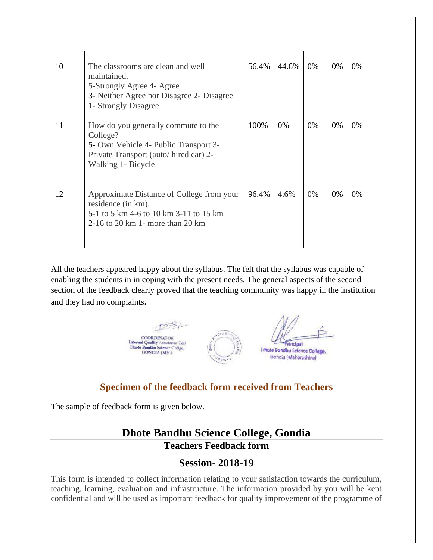| 10 | The classrooms are clean and well<br>maintained.<br>5-Strongly Agree 4- Agree<br>3- Neither Agree nor Disagree 2- Disagree<br>1- Strongly Disagree      | 56.4% | 44.6% | 0%    | 0% | 0% |
|----|---------------------------------------------------------------------------------------------------------------------------------------------------------|-------|-------|-------|----|----|
| 11 | How do you generally commute to the<br>College?<br>5- Own Vehicle 4- Public Transport 3-<br>Private Transport (auto/hired car) 2-<br>Walking 1- Bicycle | 100%  | 0%    | $0\%$ | 0% | 0% |
| 12 | Approximate Distance of College from your<br>residence (in km).<br>5-1 to 5 km 4-6 to 10 km 3-11 to 15 km<br>$2-16$ to 20 km 1 - more than 20 km        | 96.4% | 4.6%  | 0%    | 0% | 0% |

All the teachers appeared happy about the syllabus. The felt that the syllabus was capable of enabling the students in in coping with the present needs. The general aspects of the second section of the feedback clearly proved that the teaching community was happy in the institution and they had no complaints**.** 



### **Specimen of the feedback form received from Teachers**

The sample of feedback form is given below.

# **Dhote Bandhu Science College, Gondia Teachers Feedback form**

### **Session- 2018-19**

This form is intended to collect information relating to your satisfaction towards the curriculum, teaching, learning, evaluation and infrastructure. The information provided by you will be kept confidential and will be used as important feedback for quality improvement of the programme of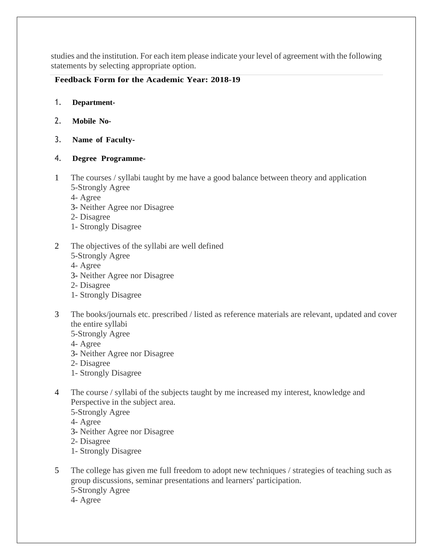studies and the institution. For each item please indicate your level of agreement with the following statements by selecting appropriate option.

#### **Feedback Form for the Academic Year: 2018-19**

- 1. **Department-**
- 2. **Mobile No-**
- 3. **Name of Faculty-**
- 4. **Degree Programme-**
- 1 The courses / syllabi taught by me have a good balance between theory and application 5-Strongly Agree
	- 4- Agree
	- 3- Neither Agree nor Disagree
	- 2- Disagree
	- 1- Strongly Disagree
- 2 The objectives of the syllabi are well defined
	- 5-Strongly Agree
	- 4- Agree
	- 3- Neither Agree nor Disagree
	- 2- Disagree
	- 1- Strongly Disagree
- 3 The books/journals etc. prescribed / listed as reference materials are relevant, updated and cover the entire syllabi
	- 5-Strongly Agree
	- 4- Agree
	- 3- Neither Agree nor Disagree
	- 2- Disagree
	- 1- Strongly Disagree
- 4 The course / syllabi of the subjects taught by me increased my interest, knowledge and Perspective in the subject area.
	- 5-Strongly Agree
	- 4- Agree
	- 3- Neither Agree nor Disagree
	- 2- Disagree
	- 1- Strongly Disagree
- 5 The college has given me full freedom to adopt new techniques / strategies of teaching such as group discussions, seminar presentations and learners' participation. 5-Strongly Agree
	- 4- Agree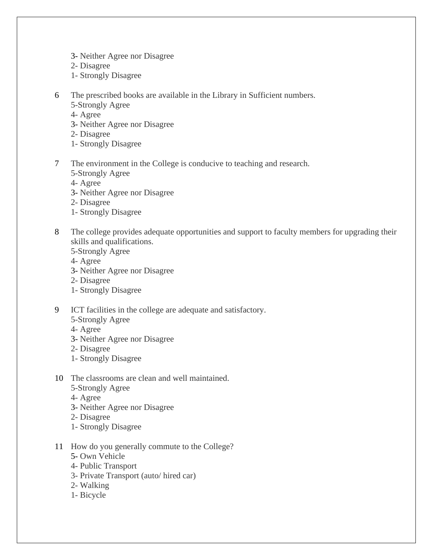- 3- Neither Agree nor Disagree
- 2- Disagree
- 1- Strongly Disagree
- 6 The prescribed books are available in the Library in Sufficient numbers.
	- 5-Strongly Agree
	- 4- Agree
	- 3- Neither Agree nor Disagree
	- 2- Disagree
	- 1- Strongly Disagree
- 7 The environment in the College is conducive to teaching and research.
	- 5-Strongly Agree
	- 4- Agree
	- 3- Neither Agree nor Disagree
	- 2- Disagree
	- 1- Strongly Disagree
- 8 The college provides adequate opportunities and support to faculty members for upgrading their skills and qualifications.
	- 5-Strongly Agree
	- 4- Agree
	- 3- Neither Agree nor Disagree
	- 2- Disagree
	- 1- Strongly Disagree
- 9 ICT facilities in the college are adequate and satisfactory.
	- 5-Strongly Agree
	- 4- Agree
	- 3- Neither Agree nor Disagree
	- 2- Disagree
	- 1- Strongly Disagree
- 10 The classrooms are clean and well maintained.
	- 5-Strongly Agree
	- 4- Agree
	- 3- Neither Agree nor Disagree
	- 2- Disagree
	- 1- Strongly Disagree
- 11 How do you generally commute to the College?
	- 5- Own Vehicle
	- o 4- Public Transport
	- 3- Private Transport (auto/ hired car)
	- 2- Walking
	- 1- Bicycle